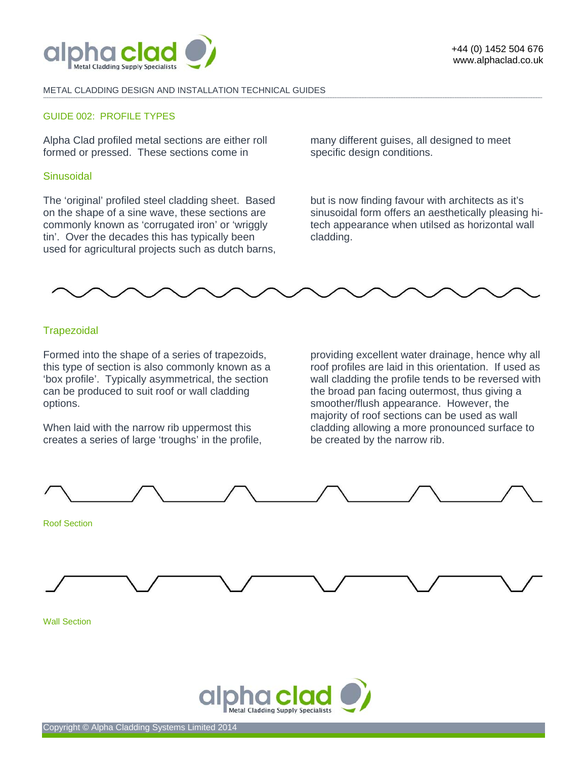

#### METAL CLADDING DESIGN AND INSTALLATION TECHNICAL GUIDES **-------------------------------------------------------------------------------------------------------------------------------------------------------------------------------------------------------------------------------------------------------------------------------------------------------------------------------------------------------------------------------------------------------**

# GUIDE 002: PROFILE TYPES

Alpha Clad profiled metal sections are either roll formed or pressed. These sections come in

## **Sinusoidal**

The 'original' profiled steel cladding sheet. Based on the shape of a sine wave, these sections are commonly known as 'corrugated iron' or 'wriggly tin'. Over the decades this has typically been used for agricultural projects such as dutch barns, many different guises, all designed to meet specific design conditions.

but is now finding favour with architects as it's sinusoidal form offers an aesthetically pleasing hitech appearance when utilsed as horizontal wall cladding.



## **Trapezoidal**

Formed into the shape of a series of trapezoids, this type of section is also commonly known as a 'box profile'. Typically asymmetrical, the section can be produced to suit roof or wall cladding options.

When laid with the narrow rib uppermost this creates a series of large 'troughs' in the profile,

providing excellent water drainage, hence why all roof profiles are laid in this orientation. If used as wall cladding the profile tends to be reversed with the broad pan facing outermost, thus giving a smoother/flush appearance. However, the majority of roof sections can be used as wall cladding allowing a more pronounced surface to be created by the narrow rib.